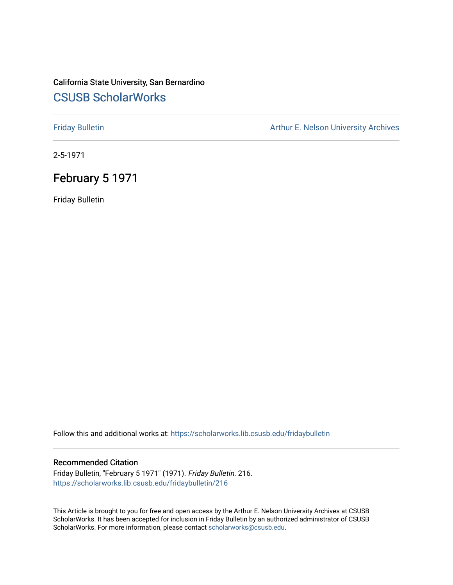### California State University, San Bernardino [CSUSB ScholarWorks](https://scholarworks.lib.csusb.edu/)

[Friday Bulletin](https://scholarworks.lib.csusb.edu/fridaybulletin) **Arthur E. Nelson University Archives** Arthur E. Nelson University Archives

2-5-1971

## February 5 1971

Friday Bulletin

Follow this and additional works at: [https://scholarworks.lib.csusb.edu/fridaybulletin](https://scholarworks.lib.csusb.edu/fridaybulletin?utm_source=scholarworks.lib.csusb.edu%2Ffridaybulletin%2F216&utm_medium=PDF&utm_campaign=PDFCoverPages)

#### Recommended Citation

Friday Bulletin, "February 5 1971" (1971). Friday Bulletin. 216. [https://scholarworks.lib.csusb.edu/fridaybulletin/216](https://scholarworks.lib.csusb.edu/fridaybulletin/216?utm_source=scholarworks.lib.csusb.edu%2Ffridaybulletin%2F216&utm_medium=PDF&utm_campaign=PDFCoverPages)

This Article is brought to you for free and open access by the Arthur E. Nelson University Archives at CSUSB ScholarWorks. It has been accepted for inclusion in Friday Bulletin by an authorized administrator of CSUSB ScholarWorks. For more information, please contact [scholarworks@csusb.edu.](mailto:scholarworks@csusb.edu)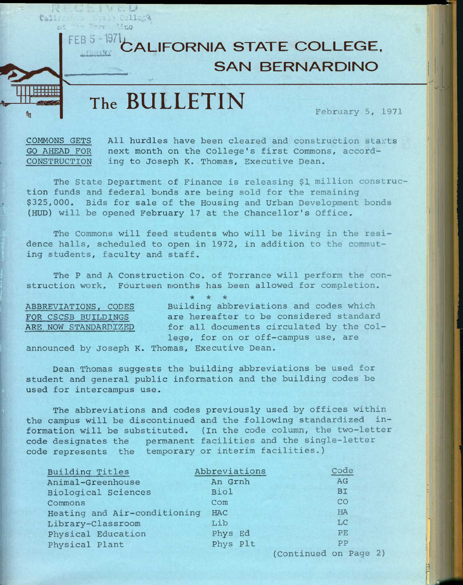**FEB 5 -1971 6ALIFORNIA STATE COLLEGE, SAN BERNARDINO** 

# **The BULLETIN** February 5, 1971

*i* 

j V r, *u*  California Etat Collega nt en Berne lino

COMMONS GETS All hurdles have been cleared and construction starts GO AHEAD FOR next month on the College's first Commons, accord-CONSTRUCTION ing to Joseph K. Thomas, Executive Dean.

The State Department of Finance is releasing \$1 million construction funds and federal bonds are being sold for the remaining s \$325,000. Bids for sale of the Housing and Urban Development bonds (HUD) will be opened February 17 at the Chancellor's Office.

The Commons will feed students who will be living in the residence halls, scheduled to open in 1972, in addition to the commuting students, faculty and staff.

The P and A Construction Co. of Torrance will perform the construction work. Fourteen months has been allowed for completion.

<sup>f</sup>*I ic "k ic*  ABBREVIATIONS, CODES Building abbreviations and codes which FOR CSCSB BUILDINGS are hereafter to be considered standard ARE NOW STANDARDIZED for all documents circulated by the College, for on or off-campus use, are

announced by Joseph K. Thomas, Executive Dean.

Dean Thomas suggests the building abbreviations be used for student and general public information and the building codes be used for intercampus use.

The abbreviations and codes previously used by offices within the campus will be discontinued and the following standardized in formation will be substituted. (In the code column, the two-letter code designates the permanent facilities and the single-letter code represents the temporary or interim facilities.)

| Building Titles              | Abbreviations | Code                  |
|------------------------------|---------------|-----------------------|
| Animal-Greenhouse            | An Grnh       | AG                    |
| <b>Biological Sciences</b>   | <b>Biol</b>   | <b>BI</b>             |
| Commons                      | Com           | CO                    |
| Heating and Air-conditioning | HAC           | HA                    |
| Library-Classroom            | Lib           | LC                    |
| Physical Education           | Phys Ed       | PE                    |
| Physical Plant               | Phys Plt      | PP                    |
|                              |               | (Continued on Page 2) |